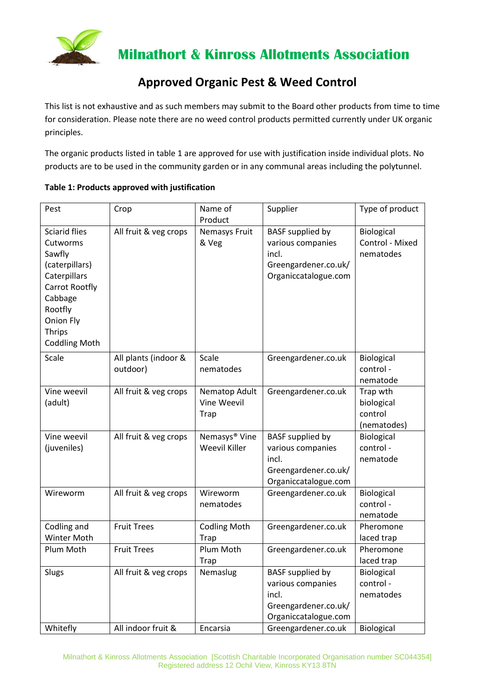

 **Milnathort & Kinross Allotments Association**

## **Approved Organic Pest & Weed Control**

This list is not exhaustive and as such members may submit to the Board other products from time to time for consideration. Please note there are no weed control products permitted currently under UK organic principles.

The organic products listed in table 1 are approved for use with justification inside individual plots. No products are to be used in the community garden or in any communal areas including the polytunnel.

| Table 1: Products approved with justification |  |
|-----------------------------------------------|--|
|-----------------------------------------------|--|

| Pest                                                                                                                                                                | Crop                             | Name of                                           | Supplier                                                                                              | Type of product                                  |
|---------------------------------------------------------------------------------------------------------------------------------------------------------------------|----------------------------------|---------------------------------------------------|-------------------------------------------------------------------------------------------------------|--------------------------------------------------|
| <b>Sciarid flies</b><br>Cutworms<br>Sawfly<br>(caterpillars)<br>Caterpillars<br>Carrot Rootfly<br>Cabbage<br>Rootfly<br>Onion Fly<br>Thrips<br><b>Coddling Moth</b> | All fruit & veg crops            | Product<br><b>Nemasys Fruit</b><br>& Veg          | <b>BASF</b> supplied by<br>various companies<br>incl.<br>Greengardener.co.uk/<br>Organiccatalogue.com | Biological<br>Control - Mixed<br>nematodes       |
| Scale                                                                                                                                                               | All plants (indoor &<br>outdoor) | Scale<br>nematodes                                | Greengardener.co.uk                                                                                   | Biological<br>control-<br>nematode               |
| Vine weevil<br>(adult)                                                                                                                                              | All fruit & veg crops            | Nematop Adult<br>Vine Weevil<br>Trap              | Greengardener.co.uk                                                                                   | Trap wth<br>biological<br>control<br>(nematodes) |
| Vine weevil<br>(juveniles)                                                                                                                                          | All fruit & veg crops            | Nemasys <sup>®</sup> Vine<br><b>Weevil Killer</b> | <b>BASF</b> supplied by<br>various companies<br>incl.<br>Greengardener.co.uk/<br>Organiccatalogue.com | Biological<br>control-<br>nematode               |
| Wireworm                                                                                                                                                            | All fruit & veg crops            | Wireworm<br>nematodes                             | Greengardener.co.uk                                                                                   | Biological<br>control-<br>nematode               |
| Codling and<br>Winter Moth                                                                                                                                          | <b>Fruit Trees</b>               | <b>Codling Moth</b><br>Trap                       | Greengardener.co.uk                                                                                   | Pheromone<br>laced trap                          |
| Plum Moth                                                                                                                                                           | <b>Fruit Trees</b>               | Plum Moth<br><b>Trap</b>                          | Greengardener.co.uk                                                                                   | Pheromone<br>laced trap                          |
| Slugs                                                                                                                                                               | All fruit & veg crops            | Nemaslug                                          | <b>BASF</b> supplied by<br>various companies<br>incl.<br>Greengardener.co.uk/<br>Organiccatalogue.com | Biological<br>control-<br>nematodes              |
| Whitefly                                                                                                                                                            | All indoor fruit &               | Encarsia                                          | Greengardener.co.uk                                                                                   | Biological                                       |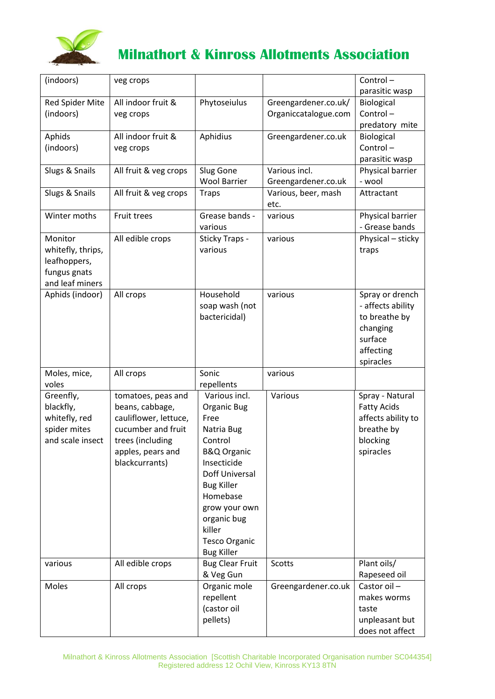

## **Milnathort & Kinross Allotments Association**

| (indoors)                     | veg crops                                   |                                       |                      | Control-                                 |
|-------------------------------|---------------------------------------------|---------------------------------------|----------------------|------------------------------------------|
|                               |                                             |                                       |                      | parasitic wasp                           |
| Red Spider Mite               | All indoor fruit &                          | Phytoseiulus                          | Greengardener.co.uk/ | Biological                               |
| (indoors)                     | veg crops                                   |                                       | Organiccatalogue.com | Control-                                 |
|                               |                                             |                                       |                      | predatory mite                           |
| Aphids                        | All indoor fruit &                          | Aphidius                              | Greengardener.co.uk  | Biological                               |
| (indoors)                     | veg crops                                   |                                       |                      | Control-                                 |
|                               |                                             |                                       |                      | parasitic wasp                           |
| Slugs & Snails                | All fruit & veg crops                       | Slug Gone                             | Various incl.        | Physical barrier                         |
|                               |                                             | <b>Wool Barrier</b>                   | Greengardener.co.uk  | - wool                                   |
| Slugs & Snails                | All fruit & veg crops                       | <b>Traps</b>                          | Various, beer, mash  | Attractant                               |
|                               |                                             |                                       | etc.                 |                                          |
| Winter moths                  | Fruit trees                                 | Grease bands -                        | various              | Physical barrier                         |
|                               |                                             | various                               |                      | - Grease bands                           |
| Monitor                       | All edible crops                            | Sticky Traps -                        | various              | Physical - sticky                        |
| whitefly, thrips,             |                                             | various                               |                      | traps                                    |
| leafhoppers,                  |                                             |                                       |                      |                                          |
| fungus gnats                  |                                             |                                       |                      |                                          |
| and leaf miners               |                                             |                                       |                      |                                          |
| Aphids (indoor)               | All crops                                   | Household                             | various              | Spray or drench                          |
|                               |                                             | soap wash (not                        |                      | - affects ability                        |
|                               |                                             | bactericidal)                         |                      | to breathe by                            |
|                               |                                             |                                       |                      | changing                                 |
|                               |                                             |                                       |                      | surface                                  |
|                               |                                             |                                       |                      | affecting                                |
|                               |                                             |                                       |                      | spiracles                                |
| Moles, mice,                  | All crops                                   | Sonic                                 | various              |                                          |
| voles                         |                                             | repellents                            |                      |                                          |
| Greenfly,                     | tomatoes, peas and                          | Various incl.                         | Various              | Spray - Natural                          |
| blackfly,                     | beans, cabbage,                             | Organic Bug<br>Free                   |                      | <b>Fatty Acids</b><br>affects ability to |
| whitefly, red<br>spider mites | cauliflower, lettuce,<br>cucumber and fruit |                                       |                      | breathe by                               |
| and scale insect              |                                             | Natria Bug<br>Control                 |                      |                                          |
|                               | trees (including                            |                                       |                      | blocking<br>spiracles                    |
|                               | apples, pears and<br>blackcurrants)         | <b>B&amp;Q Organic</b><br>Insecticide |                      |                                          |
|                               |                                             | <b>Doff Universal</b>                 |                      |                                          |
|                               |                                             | <b>Bug Killer</b>                     |                      |                                          |
|                               |                                             | Homebase                              |                      |                                          |
|                               |                                             | grow your own                         |                      |                                          |
|                               |                                             | organic bug                           |                      |                                          |
|                               |                                             | killer                                |                      |                                          |
|                               |                                             | <b>Tesco Organic</b>                  |                      |                                          |
|                               |                                             | <b>Bug Killer</b>                     |                      |                                          |
| various                       | All edible crops                            | <b>Bug Clear Fruit</b>                | <b>Scotts</b>        | Plant oils/                              |
|                               |                                             | & Veg Gun                             |                      | Rapeseed oil                             |
| Moles                         | All crops                                   | Organic mole                          | Greengardener.co.uk  | Castor oil-                              |
|                               |                                             | repellent                             |                      | makes worms                              |
|                               |                                             | (castor oil                           |                      | taste                                    |
|                               |                                             | pellets)                              |                      | unpleasant but                           |
|                               |                                             |                                       |                      | does not affect                          |